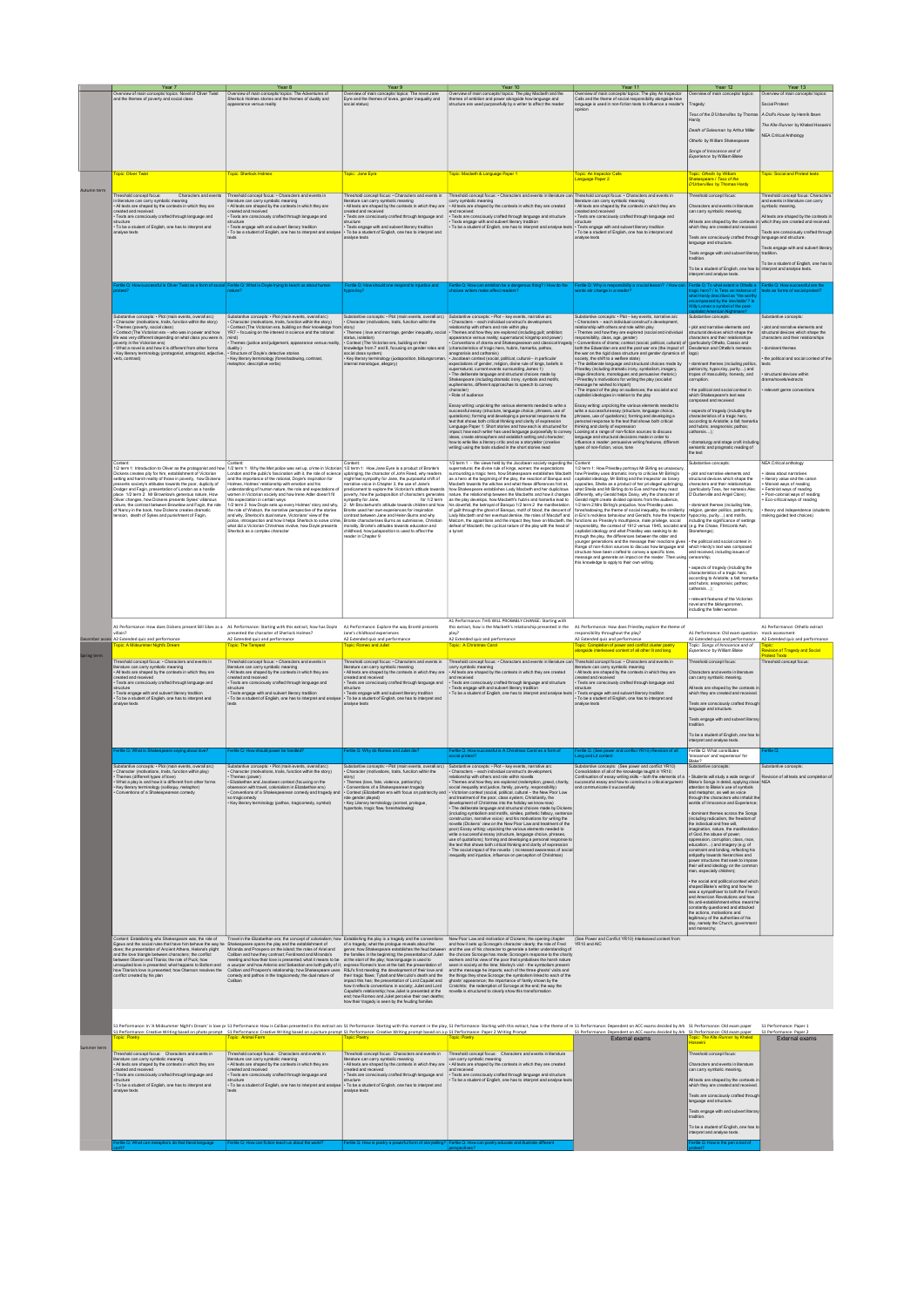|             | Year 7                                                                                                                                                                                                                                                                                                                                                                                                                                                                                                                                                                                                                                                      | Year 8                                                                                                                                                                                                                                                                                                                                                                                                                                                                                                                                                                                                                                                                                                                                                                                                                               | Year 9                                                                                                                                                                                                                                                                                                                                                                                                                                                                                                                                                                                                                                                                                                                    | Year 10                                                                                                                                                                                                                                                                                                                                                                                                                                                                                                                                                                                                                                                                                                                                                                                                                                                                                                                                                                                                                                                                                                                                                                                                                                                                                                                                                                                                                                                      | Year 11                                                                                                                                                                                                                                                                                                                                                                                                                                                                                                                                                                                                                                                                                                                                                                                                                                                                                                                                                                                                                                                                                                                                                                                                                                                                                                                                                                                                                                                                                                                                                           | Year 12                                                                                                                                                                                                                                                                                                                                                                                                                                                                                                                                                                                                                                                                                                                                                                                                                                                                                                                                                                                                                                                                                                                                  | Year 13                                                                                                                                                                                                                                                                                                                                                               |
|-------------|-------------------------------------------------------------------------------------------------------------------------------------------------------------------------------------------------------------------------------------------------------------------------------------------------------------------------------------------------------------------------------------------------------------------------------------------------------------------------------------------------------------------------------------------------------------------------------------------------------------------------------------------------------------|--------------------------------------------------------------------------------------------------------------------------------------------------------------------------------------------------------------------------------------------------------------------------------------------------------------------------------------------------------------------------------------------------------------------------------------------------------------------------------------------------------------------------------------------------------------------------------------------------------------------------------------------------------------------------------------------------------------------------------------------------------------------------------------------------------------------------------------|---------------------------------------------------------------------------------------------------------------------------------------------------------------------------------------------------------------------------------------------------------------------------------------------------------------------------------------------------------------------------------------------------------------------------------------------------------------------------------------------------------------------------------------------------------------------------------------------------------------------------------------------------------------------------------------------------------------------------|--------------------------------------------------------------------------------------------------------------------------------------------------------------------------------------------------------------------------------------------------------------------------------------------------------------------------------------------------------------------------------------------------------------------------------------------------------------------------------------------------------------------------------------------------------------------------------------------------------------------------------------------------------------------------------------------------------------------------------------------------------------------------------------------------------------------------------------------------------------------------------------------------------------------------------------------------------------------------------------------------------------------------------------------------------------------------------------------------------------------------------------------------------------------------------------------------------------------------------------------------------------------------------------------------------------------------------------------------------------------------------------------------------------------------------------------------------------|-------------------------------------------------------------------------------------------------------------------------------------------------------------------------------------------------------------------------------------------------------------------------------------------------------------------------------------------------------------------------------------------------------------------------------------------------------------------------------------------------------------------------------------------------------------------------------------------------------------------------------------------------------------------------------------------------------------------------------------------------------------------------------------------------------------------------------------------------------------------------------------------------------------------------------------------------------------------------------------------------------------------------------------------------------------------------------------------------------------------------------------------------------------------------------------------------------------------------------------------------------------------------------------------------------------------------------------------------------------------------------------------------------------------------------------------------------------------------------------------------------------------------------------------------------------------|------------------------------------------------------------------------------------------------------------------------------------------------------------------------------------------------------------------------------------------------------------------------------------------------------------------------------------------------------------------------------------------------------------------------------------------------------------------------------------------------------------------------------------------------------------------------------------------------------------------------------------------------------------------------------------------------------------------------------------------------------------------------------------------------------------------------------------------------------------------------------------------------------------------------------------------------------------------------------------------------------------------------------------------------------------------------------------------------------------------------------------------|-----------------------------------------------------------------------------------------------------------------------------------------------------------------------------------------------------------------------------------------------------------------------------------------------------------------------------------------------------------------------|
|             | Overview of main concepts/ topics: Novel of Oliver Twist<br>ind the themes of poverty and social class<br>pia: Oliver Twis                                                                                                                                                                                                                                                                                                                                                                                                                                                                                                                                  | Overview of main concepts/ topics: The Adventures of<br>Sherlock Holmes stories and the themes of duality and<br>appearance versus reality<br>onic: Sheringk Holme                                                                                                                                                                                                                                                                                                                                                                                                                                                                                                                                                                                                                                                                   | Overview of main concepts/ topics: The novel Jane<br>Eyre and the themes of loves, gender inequality and<br>opic: Jane Eyri                                                                                                                                                                                                                                                                                                                                                                                                                                                                                                                                                                                               | Overview of main concepts/ topics: The play Macbeth and the<br>themes of ambition and power alongside how language and<br>structure are used purposefully by a writer to affect the reader<br>opic: Macbeth & Language Paper 1                                                                                                                                                                                                                                                                                                                                                                                                                                                                                                                                                                                                                                                                                                                                                                                                                                                                                                                                                                                                                                                                                                                                                                                                                               | Overview of main concepts/ topics: The play An Inspector<br>Calls and the theme of social responsibility alongside how<br>language is used in non-fiction texts to influence a reader's<br>Language Paper 2                                                                                                                                                                                                                                                                                                                                                                                                                                                                                                                                                                                                                                                                                                                                                                                                                                                                                                                                                                                                                                                                                                                                                                                                                                                                                                                                                       | Overview of main concents/ tonics:<br>Tess of the D'Urbervilles by Thomas<br>Hardy<br>Death of Salesman by Arthur Miller<br>Othello by William Shakespeare<br>Songs of Innocence and of<br>Experience by William Blake<br>pic: Othelib by Will                                                                                                                                                                                                                                                                                                                                                                                                                                                                                                                                                                                                                                                                                                                                                                                                                                                                                           | Overview of main concepts/ topics:<br><b>Cocial Protest</b><br>A Doll's House by Henrik Ibsen<br>The Kite Runner by Khaled Hosseini<br><b>NEA Critical Anthology</b><br>solo: Social and Protest te                                                                                                                                                                   |
|             | Threshold concept focus:<br>Characters and events<br>n literature can carry symbolic meaning<br>• Al texts are shaped by the contexts in which they are<br>eated and received<br>Texts are consciously crafted through language and<br>To be a student of English, one has to interpret and                                                                                                                                                                                                                                                                                                                                                                 | Threshold concept focus: . Characters and events in<br>literature can carry symbolic meaning<br>• All texts are shaped by the contexts in which they are<br>created and received<br>Texts are consciously crafted through language and<br>structure<br>Texts engage with and subvert literary tradition<br>To be a student of English, one has to interpret and analys                                                                                                                                                                                                                                                                                                                                                                                                                                                               | Threshold concept focus: . Characters and events in<br>therature can carry symbolic meaning<br>• All texts are shaped by the contexts in which they are<br>reated and received<br>Texts are consciously crafted through language and<br>tructure<br>• Texts engage with and subvert literary tradition<br>• To be a student of English, one has to interpret and<br>nalyse texts                                                                                                                                                                                                                                                                                                                                          | Threshold concept focus: • Characters and events in Iterature can Threshold concept focus: • Characters and events in<br>arry symbolic meaning<br>Al tr<br>ds are shaped by the contexts in which they are created<br>nd received<br>Texts are consciously crafted through language and structure<br>Texts angage with and subvert literary tradition<br>To be a student of English, one has to interpret and analyse texts                                                                                                                                                                                                                                                                                                                                                                                                                                                                                                                                                                                                                                                                                                                                                                                                                                                                                                                                                                                                                                  | literature can carry symbolic meaning<br>All texts are shaped by the contexts in which they are<br>reated and received<br>. Texts are consciously crafted through language and<br>tructure<br>. Texts engage with and subvert literary tradition<br>. To be a student of English, one has to interpret and<br>nalyse texts                                                                                                                                                                                                                                                                                                                                                                                                                                                                                                                                                                                                                                                                                                                                                                                                                                                                                                                                                                                                                                                                                                                                                                                                                                        | D'Urbervilles by Thomas Hardy<br>Threshold concept focus:<br>Characters and events in literature<br>an carry symbolic meaning<br>All texts are shaped by the contexts<br>which they are created and received.<br>Texts are cons<br>ciously crafted throug<br>language and structure.<br>Texts engage with and subvert liter<br>To be a student of Foolish, one has to<br>interpret and analyse texts                                                                                                                                                                                                                                                                                                                                                                                                                                                                                                                                                                                                                                                                                                                                     | Threshold concept focus: Characters<br>and events in literature can carry<br>mbolic meaning.<br>All texts are shaped by the contexts in<br>which they are created and received.<br>Texts are consciously crafted through<br>language and structure<br>Texts engage with and subvert literary<br>To be a student of English, one has to<br>interpret and analyse texts |
|             |                                                                                                                                                                                                                                                                                                                                                                                                                                                                                                                                                                                                                                                             |                                                                                                                                                                                                                                                                                                                                                                                                                                                                                                                                                                                                                                                                                                                                                                                                                                      |                                                                                                                                                                                                                                                                                                                                                                                                                                                                                                                                                                                                                                                                                                                           |                                                                                                                                                                                                                                                                                                                                                                                                                                                                                                                                                                                                                                                                                                                                                                                                                                                                                                                                                                                                                                                                                                                                                                                                                                                                                                                                                                                                                                                              |                                                                                                                                                                                                                                                                                                                                                                                                                                                                                                                                                                                                                                                                                                                                                                                                                                                                                                                                                                                                                                                                                                                                                                                                                                                                                                                                                                                                                                                                                                                                                                   | ragic hero? / is Tess an instance of<br>that Hardy described as "the worthy<br>encompassed by the inevitable"? Is<br>Wily Loman a symbol of the nost                                                                                                                                                                                                                                                                                                                                                                                                                                                                                                                                                                                                                                                                                                                                                                                                                                                                                                                                                                                     | ts as forms of so                                                                                                                                                                                                                                                                                                                                                     |
|             | Substantive concepts: . Plot (main events, overall arc)<br>Character (motivations, traits, function within the story)<br>Themes (poverty, social class)<br>Context (The Victorian era - who was in power and how<br>ife was very different depending on what class you were in,<br>overty in the Victorian era)<br>What a novel is and how it is different from other forms<br>Key literary terminology (protagonist, antagonist, adjecti<br>erb, contrast)                                                                                                                                                                                                 | Substantive concepts: . Plot (main events, overall arc)<br>· Character (motivations, traits, function within the story)<br>Context (The Victorian era, building on their knowledge<br>YR7 - focusing on the interest in science and the ratio<br>Themes (justice and judgement, appearance versus reality,<br>duality )<br>- Structure of Doyle's detective stories<br>Key literary terminology (foreshadowing, contrast<br>metaphor, descriptive verbs)                                                                                                                                                                                                                                                                                                                                                                             | Substantive concepts: . Plot (main events, overall arc)<br>· Character (motivations, traits, function within the<br>tory)<br>Then<br>es ( love and marriage, gender inequality, so<br>tatus, isolation)<br>· Context (The Victorian era, building on their<br>knowledge from 7 and 8, focusing on gender roles and<br>social class system)<br>- Key literary terminology (juxtaposition, bildungs<br>ternal monologue, allegory)                                                                                                                                                                                                                                                                                          | Substantive concepts: • Plot - key events, narrative arc<br>Characters - each individual construct's development,<br>elationship with others and role within play<br>Themes and how they are explored (including guilt; ambition<br>ppearance versus reality; supernatural; kingship and power)<br>Conventions of drama and Shakespearean and classical tra<br>characteristics of tragic hero, hubris, hamartia, pathos,<br>anagnorisis and catharsis)<br>Jacobean context (social, political, cultural – in particula<br>expectations of gender, religion, divine rule of kings, beliefs in<br>upernatural, current events surrounding James 1)<br>-<br>The delberate language and structural choices made by<br>Shakespeare (including dramatic irony, symbols and motifs<br>euphemisms, different approaches to speech to convey<br>character)<br>Role of audience<br>Essay writing: unpicking the various elements needed to write a<br>successful essay (structure, language choice, phrases, use of<br>quotations); forming and developing a personal response to the<br>text that shows both critical thinking and clarity of expression<br>Language Paper 1: Short stories and how each is structured for<br>impact; how each writer has used language purposefully to conve<br>ideas, create atmosphere and establish setting and character;<br>how to write like a literary critic and as a storyteller (creative<br>writing) using the tools stud | Substantive concepts: • Plot - key events, narrative arc<br>· Characters - each individual construct's development,<br>elationship with others and role within play<br>. Themes and how they are explored (social and individual<br>sponsibility, class, age, gender)<br>Conventions of drama; context (social, political, cultural) of<br>. Conventions or unamia, compared parties of the impact of<br>both the Edwardian era and the post war era (the impact of<br>the war on the rinid class structure and gender dynamics of<br>the war on the rigid class structure and gender dyn<br>ociety, the shift to a welfare state)<br>- The deliberate language and structural choices made by<br>Priestley (including dramatic irony, symbolsm, imagery,<br>stage directions, monologies and persuasive rhedoric)<br>- Priestley's motivations for writing the play (sociali<br>message he wished to impart)<br>$\cdot$ The impact of the play on audiences; the socialist and capitalist ideologies in relation to the play<br>Essay writing: unpicking the various elements needed to<br>write a successful essay (structure, language choice,<br>phrases, use of quotations); forming and developing a<br>ersonal response to the text that shows both crit<br>hinking and clarity of expression<br>Looking at a range of non-fiction sources to discuss<br>commy as a range or norm-room a could be<br>targuage and structural decisions made in order to<br>influence a reader: persuasive writing features, different<br>types of non-fiction, voice, tone | capitalist American Nic<br>Substantive concepts:<br>plot and narrative elements and<br>uctural devices which shape the<br>characters and their relationships<br>(particularly Othello, Cassio and<br>Desdemon and Othello's nemesis<br>lago)<br>dominant themes (including politics<br>patriarchy, hypocrisy, purity) and<br>tropes of masculinity, honesty, and<br>rruption<br>the political and social context in<br>ahich Shakespeare's text was<br>composed and received<br>aspects of tragedy (including the<br>characteristics of a tragic hero,<br>according to Aristotle; a fall; hamarti<br>and hubris; anagnorisis; pathos;<br>catharsis);<br>dramaturgy and stage craft includin<br>emantic and pragmatic reading of<br>the text                                                                                                                                                                                                                                                                                                                                                                                              | Substantive concepts:<br>plot and narrative elements and<br>mentional devices which shape the<br>aracters and their relationships<br>dominant themes<br>the political and social context of the<br>exts<br>structural devices within<br>ama/novels/extracts<br>relevant genre conventions                                                                             |
|             | Johann.<br>I/2 term 1: Introduction to Oliver as the protagonist and how<br>lickens creates nity for him establishment of Victorian<br>etting and harsh reality of those in poverty, how Dickens<br>sessents society's attitudes towards the poor, duplicity of<br>Jodger and Fagin, presentation of London as a hostile<br>slace 1/2 term 2: Mr Brownlow's generous nature, How<br>ue 1/2 term 2. Wr brownows generous naise, How<br>ver changes, how Dickens presents Sykes' villainous<br>ure, the contrast between Brownlow and Fagin, the role<br>of Nancy in the book, how Dickens creates dramatic<br>nsion, death of Sykes and punishment of Fagin, | 1/2 term 1: Why the Met police was set up, crime in Victorian 1/2 term 1: How Jane Eyre is a product of Bronte's<br>London and the public's fascination with it, the role of science<br>and the importance of the rational, Doyle's inspiration for<br>lolmes, Holmes' relationship with emotion and his<br>understanding of human nature, the role and expectations of<br>omen in Victorian society and how Irene Adler doesn't fit<br>this expectation in certain ways<br>1/2 term 2: how Doyle sets up every Holmes' story and why,<br>the role of Watson, the narrative perspective of the stories<br>and why, Sherlock's dual nature, Victorians' view of the<br>police, introspection and how it helps Sherlock to solve crim<br>what did a Victorian Christmas involve, how Doyle presents<br>Sherlock as a complex character | upbringing, the character of John Reed, why readers<br>might feel sympathy for Jane, the purposeful shift of<br>narrative voice in Chapter 3, the use of Jane's<br>predicament to explore the Victorian's attitude towards<br>overty, how the juxtaposition of characters generates<br>ympathy for Jane, for 1/2 term<br>Mr Brockehurst's attitude towards children and how:<br>Bronte used her own experiences for inspiration<br>contrast between Jane and Helen Burns and why<br>consust between Jane and Helen Burns and why<br>Bronte characterises Burns as submissive, Christian<br>morality, Bronte's attitudes towards education and<br>childhood, how juxtaposition is used to affect the<br>eader in Chapter 9 | /2 term 1 - the views held by the Jacobean society regarding the Content:<br>upernatural, the divine rule of kings, women; the expectations<br>urrounding a tragic hero, how Shakespeare establishes Macbeth<br>arrounding a tragic nero, now enamelopeare establishes matteu<br>is a hero at the beginning of the play, the reaction of Banquo and<br>Aacbeth towards the witches and what these differences hint at,<br>how Shakespeare establishes Lady Macbeth and her duplicitous<br>ature, the relationship beween the Macbeths and how it changes<br>atoxe, the relationship beween the macbetis and how it change<br>is the play develops, how Macbeth's hubris and hamartia lead to<br>its downfall, the betrayal of Banquo 1/2 term 2 the manifestation<br>of quilt through the ghost of Banguo, motif of blood, the descent of<br>ady Macbeth and her eventual demise, the roles of Macduff and<br>.<br>Malcom, the apparitions and the impact they have on Macbeth, the<br>defeat of Macbeth, the cyclical nature of the play with the head of<br>a tyrant                                                                                                                                                                                                                                                                                                                                                                                       | 1/2 term 1: How Priestley portrays Mr Birling as unsavoury,<br>how Priestley uses dramatic irony to criticise Mr Birling's<br>capitalist ideology, Mr Birling and the Inspector as binary<br>opposites, Shelia as a product of her privileged upbringing.<br>what Sheila and Mr Birling do to Eva and how they react<br>differently, why Gerald helps Daisy, why the character of<br>Gerald might create divided opinions from the audence,<br>1/2 term 2: Mrs Birling's prejudice, how Priestley uses<br>foreshadowing, the theme of social inequality, the similarity<br>in Eric's reckless behaviour and Gerald's, how the Inspector<br>functions as Priesley's mouthpiece, male privilege, social<br>responsibility, the context of 1912 versus 1945, socialist as<br>captialist ideology and what Priestley was seeking to do<br>through the play, the differences between the older and<br>younger generations and the message their reactions gives<br>Range of non-fiction sources to discuss how language and<br>structure have been crafted to convey a specific tone,<br>message and generate an impact on the reader. Then using<br>this knowledge to apply to their own writing.                                                                                                                                                                                                                                                                                                                                                                     | dostantive concepts:<br>olot and narrative elements and<br>structural devices which shape the<br>characters and their relationships<br>(particularly Tess, her nemesis Alec<br>D'Durberville and Angel Clare);<br>dominant themes (including fate<br>religion, gender politics, patriarchy.<br>hypocrisy, purity) and motifs,<br>including the significance of settings<br>(e.g. the Chase, Flintcomb Ash,<br>Stonehenge);<br>the political and social context in<br>which Hardy's text was composed<br>and received, including issues of<br>censorship<br>aspects of tragedy (including the<br>characteristics of a tragic hero,<br>according to Aristotle: a fall: hamart<br>an any we susue, a tair, hand<br>and hubris; anagnorisis; pathos;<br>catharsis);<br>relevant features of the Victorian<br>novel and the bildungsroman,<br>including the fallen woman.                                                                                                                                                                                                                                                                     | <b>VEA Critical anthology</b><br>ideas about narratives<br>literary value and the canon<br>Marxist ways of reading<br>Feminist ways of reading<br>Post-colonial wavs of reading<br>Eco-critical ways of reading<br>theory and independence (students<br>aking guided text choices)                                                                                    |
|             | illain?<br>A2 Extended quiz and performance                                                                                                                                                                                                                                                                                                                                                                                                                                                                                                                                                                                                                 | A1 Performance: How does Dickens present Bill Sikes as a A1 Performance: Starting with this extract, how has Doyle<br>presented the character of Sherlock Holmes?<br>A2 Extended quiz and performance                                                                                                                                                                                                                                                                                                                                                                                                                                                                                                                                                                                                                                | A1 Performance: Explore the way Brontë presents<br>Jane's childhood experiences<br>A2 Extended quiz and performanc                                                                                                                                                                                                                                                                                                                                                                                                                                                                                                                                                                                                        | A1 Performance: THIS WILL PROBABLY CHANGE: Starting with<br>this extract, how is the Macbeth's relationship presented in the<br>play?<br>A2 Extended quiz and performance                                                                                                                                                                                                                                                                                                                                                                                                                                                                                                                                                                                                                                                                                                                                                                                                                                                                                                                                                                                                                                                                                                                                                                                                                                                                                    | A1 Performance: How does Priestley explore the theme of<br>responsibility throughout the play?<br>A2 Extended quiz and performance                                                                                                                                                                                                                                                                                                                                                                                                                                                                                                                                                                                                                                                                                                                                                                                                                                                                                                                                                                                                                                                                                                                                                                                                                                                                                                                                                                                                                                | A1 Performance: Old exam question mock assessment<br>A2 Extended quiz and performance                                                                                                                                                                                                                                                                                                                                                                                                                                                                                                                                                                                                                                                                                                                                                                                                                                                                                                                                                                                                                                                    | A1 Performance: Othello extract<br>A2 Extended quiz and performance                                                                                                                                                                                                                                                                                                   |
|             | spic: A Midsummer Night's Drean<br>Threshold concept focus: . Characters and events in<br>lerature can carry symbolic meaning<br>All texts are shaped by the contexts in which they are<br>created and received<br>Texts are consciously crafted through language and<br>ucture<br>Texts engage with and subvert literary tradition<br>To be a student of English, one has to interpret and<br>nalyse texts                                                                                                                                                                                                                                                 | opic: The Tempes<br>Threshold concept focus: . Characters and events in<br>literature can carry symbolic meaning<br>• All texts are shaped by the contexts in which they are<br>created and received<br>Texts are consciously crafted through language and<br>structure<br>Texts engage with and subvert literary tradition<br>To be a student of English, one has to interpret and analyse                                                                                                                                                                                                                                                                                                                                                                                                                                          | opia: Re<br>meo and Julie<br>Threshold concept focus: . Characters and events in<br>literature can carry symbolic meaning<br>• All texts are shaped by the contexts in which they ar<br>eated and received<br>Texts are consciously crafted through language and<br><b>Inschen</b><br>Texts engage with and subvert literary tradition<br>To be a student of English, one has to interpret and<br>analyse texts                                                                                                                                                                                                                                                                                                           | opic: A Christmas Carol<br>Threshold concept focus: • Characters and events in Iterature can Threshold concept focus: • Characters and events in<br>arry symbolic meaning<br>Al tr<br>ds are shaped by the contexts in which they are created<br>nd received<br>Texts are consciously crafted through language and structure<br>Texts engage with and subvert literary tradition<br>To be a student of English, one has to interpret and analyse te                                                                                                                                                                                                                                                                                                                                                                                                                                                                                                                                                                                                                                                                                                                                                                                                                                                                                                                                                                                                          | Topic: Completion of power and conflict cluster poetry<br>alongside interleaved content of all other lit and lang<br>literature can carry symbolic meaning<br>- Al texts are shaped by the contexts in which they are<br>created and received<br>Texts are consciously crafted through language and<br>tructure<br>-<br>Texts engage with and subvert literary tradition<br>- To be a student of English, one has to interpret and<br>analyse texts                                                                                                                                                                                                                                                                                                                                                                                                                                                                                                                                                                                                                                                                                                                                                                                                                                                                                                                                                                                                                                                                                                               | Topic: Songs of Innocence and of<br>Experience by William Blake<br>Threshold concept focus:<br>Characters and events in literature<br>an carry symbolic meaning.<br>All texts are shaped by the contexts in<br>which they are created and rece<br>Texts are consciously crafted through<br>language and structure<br>Texts engage with and subvert literar<br>traditio<br>To be a student of English, one has to<br>interpret and analyse texts                                                                                                                                                                                                                                                                                                                                                                                                                                                                                                                                                                                                                                                                                          | wision of Tragedy and Social<br>test Texts<br>Threshold concept focus                                                                                                                                                                                                                                                                                                 |
|             |                                                                                                                                                                                                                                                                                                                                                                                                                                                                                                                                                                                                                                                             |                                                                                                                                                                                                                                                                                                                                                                                                                                                                                                                                                                                                                                                                                                                                                                                                                                      |                                                                                                                                                                                                                                                                                                                                                                                                                                                                                                                                                                                                                                                                                                                           |                                                                                                                                                                                                                                                                                                                                                                                                                                                                                                                                                                                                                                                                                                                                                                                                                                                                                                                                                                                                                                                                                                                                                                                                                                                                                                                                                                                                                                                              |                                                                                                                                                                                                                                                                                                                                                                                                                                                                                                                                                                                                                                                                                                                                                                                                                                                                                                                                                                                                                                                                                                                                                                                                                                                                                                                                                                                                                                                                                                                                                                   | Fertile Q: What constitutes<br>ocence' and 'experience' for<br>Blake?                                                                                                                                                                                                                                                                                                                                                                                                                                                                                                                                                                                                                                                                                                                                                                                                                                                                                                                                                                                                                                                                    |                                                                                                                                                                                                                                                                                                                                                                       |
|             | Substantive concepts: . Plot (main events, overall arc)<br>Character (motivation<br>ns traits, function within play)<br>Themes (different types of love)<br>What a play is and how it is different from other forms<br>Key literary terminology (soliloquy, metaphor)<br>Conventions of a Shakespearean comedy                                                                                                                                                                                                                                                                                                                                              | Substantive concepts: . Plot (main events, overall arc)<br>. Character (motivations, traits, function within the story)<br>-<br>Themes (power)<br>- Elizabethan and Jacobean context (focusing on the<br>obsession with travel, colonialism in Elizabethan era)<br>. Conventions of a Shakespearean comedy and tragedy and<br>Key literary terminology (pathos, tragicomedy, symbol)                                                                                                                                                                                                                                                                                                                                                                                                                                                 | story)<br>• Themes (love, fate, violence, patriarchy)<br>Conventions of a Shakespearean tragedy<br>· Context (Flizabethan era with focus on natriarchy an<br>ler played)<br>Key Literary terminology (sonnet, prologue,<br>yperbole, tragic flaw, foreshadowing)                                                                                                                                                                                                                                                                                                                                                                                                                                                          | Substantive concepts: • Plot (main events, overall arc) Substantive concepts: • Plot - key events, narrative arc<br>• Character (motivations, traits, function within the . Characters - each individual construct's development,<br>elationship with others and role within novella<br>Themes and how they are explored (redemption, greed, charity,<br>ocial inequality and justice, family, poverty, responsibility)<br>Victorian context (social, political, cultural - the New Poor Law<br>nutrient of the poor, class system, Christianity, the<br>levelopment of Christmas into the holiday we know now)<br>The deliberate language and structural choices made by Dickens<br>including symbolism and motifs, similes, pathetic fallacy, sentence<br>construction, narrative voice) and his motivations for writing the<br>rovella (Dickens' view on the New Poor Law and treatment of the<br>poor) Essay writing: unpicking the various elements needed to<br>rite a successful essay (structure, language choice, phrases,<br>which is autocounted basis (selection, imagingly choose, pressure, it<br>use of quotations); forming and developing a personal response to<br>the text that shows both critical thinking and clarity of expression<br>The social impact of the novella (increased awareness of socia<br>requality and injustice, influence on perception of Christmas)                                                                | Substantive concepts: (See power and conflict YR10)<br>Consolidation of all of the knowledge taught in YR10;<br>Consolution of essay writing skils - both the elements of a<br>successful essay and how to construct a critical argument<br>and communicate it successfully.                                                                                                                                                                                                                                                                                                                                                                                                                                                                                                                                                                                                                                                                                                                                                                                                                                                                                                                                                                                                                                                                                                                                                                                                                                                                                      | Substantive concepts:<br>- Students will study a wide range of Revis<br>Blake's Songs in detail, applying close NEA<br>attention to Blake's use of symbols<br>and metaphor, as well as voice<br>through the characters who inhabit the<br>orids of Innocence and Experience<br>dominant themes across the Song<br>(including radicalism, the freedom<br>the individual and free will,<br>imagination, nature, the manifestatio<br>of God, the abuse of power.<br>or cod, the library or power,<br>oppression, corruption, class, race<br>education) and imagery (e.g. of<br>constraint and binding, reflecting his<br>antinathy towards hierarchies and<br>ver structures that seek to impos<br>heir will and ideology on the commo<br>man, especially children);<br>the social and political context which<br>shaped Blake's writing and how he<br>was a sympathiser to both the French<br>and American Revolutions and how<br>his anti-establishment ethos meant h<br>constantly questioned and attacked<br>the actions, motivations and<br>legitimacy of the authorities of his<br>day, namely the Church, governmen<br>and monarchy; | Substantive concepts:<br>Revision of all texts and com                                                                                                                                                                                                                                                                                                                |
|             | Content: Establishing who Shakespeare was; the role of<br>es; the presentation of Ancient Athens, Helena's plight<br>nd the love triangle between characters; the conflict<br>stween Oberon and Titania; the role of Puck; how<br>rrequited love is presented; what happens to Bottom and<br>ow Titania's love is presented; how Oberson resolves the<br>enflict created by his plan                                                                                                                                                                                                                                                                        | Egeus and the social rules that have him behave the way he. Shakespeare opens the play and the establishment of<br>Joes; the presentation of Ancient Athens, Helena's plight. Miranda and Prospero on the island; the roles of Ar<br>Caliban and how they contrast; Ferdinand and Miranda's<br>meeting and how their love is presented; what it means to be at the start of the play; how language is used to<br>a usurper and how Antonio and Sebastian are both guilty of it; express Romeo's love at the ball; the presentation of<br>a usuaper and now window and occursion interest our guing of it, express women's correct the band of their love and<br>Caliban and Prospero's relationship; how Shakespeare uses R&J's first meeting; the development of their lo<br>Caliban                                                | of a tragedy, what the prologue reveals about the<br>genre; how Shakespeare establishes the feud between<br>the families in the beginning; the presentation of Juliet<br>impact this has; the presentation of Lord Capulet and<br>how it reflects conventions in society; Juliet and Lord<br>Caputlet's relationship; how Juliet is presented at the<br>end; how Romeo and Juliet perceive their own deaths;<br>how their tragedy is seen by the feuding families                                                                                                                                                                                                                                                         | Travel in the Elizabethan era; the concept of colonialism; how Establishing the play is a tragedy and the conventions New Poor Law and motivation of Dickens; the opening chapter<br>and how it sets up Scrooge's character clearly, the role of Fred<br>and the use of his character to generate a better understanding of<br>the choices Scrooge has made; Scrooge's response to the charity<br>workers and his view of the poor that symbolises the harsh nature<br>seen in society at the time: Marley's visit , the symbolism present<br>and the message he imparts; each of the three ghosts' vis<br>the things they show Scrooge; the symbolism linked to each of the<br>ghosts' appearance; the importance of family shown by the<br>Cratchits; the redemption of Scrooge at the end; the way the<br>novella is structured to clearly show this transformation                                                                                                                                                                                                                                                                                                                                                                                                                                                                                                                                                                                       | (See Power and Conflict YR10) Interleaved content from<br>YR10 and AIC                                                                                                                                                                                                                                                                                                                                                                                                                                                                                                                                                                                                                                                                                                                                                                                                                                                                                                                                                                                                                                                                                                                                                                                                                                                                                                                                                                                                                                                                                            |                                                                                                                                                                                                                                                                                                                                                                                                                                                                                                                                                                                                                                                                                                                                                                                                                                                                                                                                                                                                                                                                                                                                          |                                                                                                                                                                                                                                                                                                                                                                       |
|             |                                                                                                                                                                                                                                                                                                                                                                                                                                                                                                                                                                                                                                                             |                                                                                                                                                                                                                                                                                                                                                                                                                                                                                                                                                                                                                                                                                                                                                                                                                                      |                                                                                                                                                                                                                                                                                                                                                                                                                                                                                                                                                                                                                                                                                                                           | Performance: In 'A Midsummer Night's Dream' Is love pr S1 Performance: How is Caliban presented in this extract an S1 Performance: Starting with this moment in the play, S1 Performance: Starting with this extract, how is t                                                                                                                                                                                                                                                                                                                                                                                                                                                                                                                                                                                                                                                                                                                                                                                                                                                                                                                                                                                                                                                                                                                                                                                                                               |                                                                                                                                                                                                                                                                                                                                                                                                                                                                                                                                                                                                                                                                                                                                                                                                                                                                                                                                                                                                                                                                                                                                                                                                                                                                                                                                                                                                                                                                                                                                                                   |                                                                                                                                                                                                                                                                                                                                                                                                                                                                                                                                                                                                                                                                                                                                                                                                                                                                                                                                                                                                                                                                                                                                          | S1 Performance: Paper 1                                                                                                                                                                                                                                                                                                                                               |
| Summer term | Threshold concept focus: Characters and events in<br>ature can carry symbolic meaning<br>All texts are shaped by the contexts in which they are<br>reated and received<br>Texts are consciously crafted through language and<br>To be a student of English, one has to interpret and<br>alyse texts                                                                                                                                                                                                                                                                                                                                                         | S1 Performance: Creative Writing based on photo prompt S1 Performance: Creative Writing based on a picture prompt S1 Performance: Creative Writing prompt based on a p S1 Performance: Paper 2 Writing Prompt<br>Threshold concept focus: Characters and events in<br>rature can carry symbolic meaning<br>. All texts are shaped by the contexts in which they are<br>created and received<br>· Texts are consciously crafted through language and<br>structure<br>• To be a student of English, one has to interpret and analyse                                                                                                                                                                                                                                                                                                   | Threshold concept focus: Characters and events in<br>rature can carry symbolic meaning<br>All texts are shaped by the contexts in which they are<br>reated and received<br>Texts are consciously crafted through language and<br>. To be a student of English, one has to interpret and<br>malyse texts                                                                                                                                                                                                                                                                                                                                                                                                                   | Threshold concept focus: Characters and events in literature<br>n carry symbolic meaning<br>All texts are shaped by the contexts in which they are created<br>and received<br>Texts are consciously crafted through language and structure<br>To be a student of English, one has to interpret and analyse texts                                                                                                                                                                                                                                                                                                                                                                                                                                                                                                                                                                                                                                                                                                                                                                                                                                                                                                                                                                                                                                                                                                                                             | S1 Performance: Dependent on ACC exams decided by Ark S1 Performance: Old exam paper<br>External exams                                                                                                                                                                                                                                                                                                                                                                                                                                                                                                                                                                                                                                                                                                                                                                                                                                                                                                                                                                                                                                                                                                                                                                                                                                                                                                                                                                                                                                                            | 'opic: <i>The Kite</i><br>Iosseini<br>Threshold concept focus<br>Characters and events in literature<br>can carry symbolic meaning<br>All texts are shaped by the contexts in<br>which they are created and received<br>Texts are consciously crafted thre<br>anguage and structure<br>Texts engage with and subvert literary<br>tradition<br>To be a student of English, one has to<br>interpret and analyse texts.                                                                                                                                                                                                                                                                                                                                                                                                                                                                                                                                                                                                                                                                                                                     | S1 Performance: Paper 2<br>External exams                                                                                                                                                                                                                                                                                                                             |